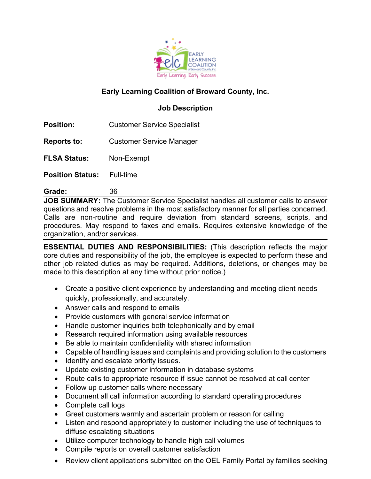

# **Early Learning Coalition of Broward County, Inc.**

# **Job Description**

**Position:** Customer Service Specialist

**Reports to:** Customer Service Manager

**FLSA Status:** Non-Exempt

**Position Status:** Full-time

**Grade:** 36

**JOB SUMMARY:** The Customer Service Specialist handles all customer calls to answer questions and resolve problems in the most satisfactory manner for all parties concerned. Calls are non-routine and require deviation from standard screens, scripts, and procedures. May respond to faxes and emails. Requires extensive knowledge of the organization, and/or services.

**ESSENTIAL DUTIES AND RESPONSIBILITIES:** (This description reflects the major core duties and responsibility of the job, the employee is expected to perform these and other job related duties as may be required. Additions, deletions, or changes may be made to this description at any time without prior notice.)

- Create a positive client experience by understanding and meeting client needs quickly, professionally, and accurately.
- Answer calls and respond to emails
- Provide customers with general service information
- Handle customer inquiries both telephonically and by email
- Research required information using available resources
- Be able to maintain confidentiality with shared information
- Capable of handling issues and complaints and providing solution to the customers
- Identify and escalate priority issues.
- Update existing customer information in database systems
- Route calls to appropriate resource if issue cannot be resolved at call center
- Follow up customer calls where necessary
- Document all call information according to standard operating procedures
- Complete call logs
- Greet customers warmly and ascertain problem or reason for calling
- Listen and respond appropriately to customer including the use of techniques to diffuse escalating situations
- Utilize computer technology to handle high call volumes
- Compile reports on overall customer satisfaction
- Review client applications submitted on the OEL Family Portal by families seeking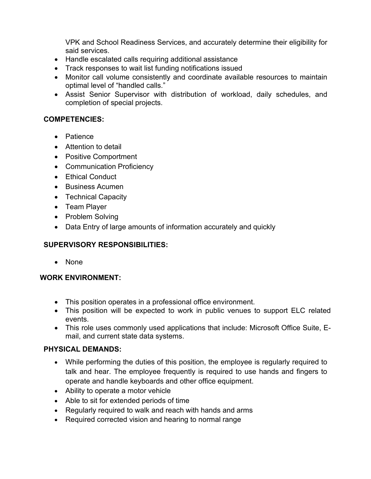VPK and School Readiness Services, and accurately determine their eligibility for said services.

- Handle escalated calls requiring additional assistance
- Track responses to wait list funding notifications issued
- Monitor call volume consistently and coordinate available resources to maintain optimal level of "handled calls."
- Assist Senior Supervisor with distribution of workload, daily schedules, and completion of special projects.

### **COMPETENCIES:**

- Patience
- Attention to detail
- Positive Comportment
- Communication Proficiency
- Ethical Conduct
- Business Acumen
- Technical Capacity
- Team Player
- Problem Solving
- Data Entry of large amounts of information accurately and quickly

# **SUPERVISORY RESPONSIBILITIES:**

• None

#### **WORK ENVIRONMENT:**

- This position operates in a professional office environment.
- This position will be expected to work in public venues to support ELC related events.
- This role uses commonly used applications that include: Microsoft Office Suite, Email, and current state data systems.

#### **PHYSICAL DEMANDS:**

- While performing the duties of this position, the employee is regularly required to talk and hear. The employee frequently is required to use hands and fingers to operate and handle keyboards and other office equipment.
- Ability to operate a motor vehicle
- Able to sit for extended periods of time
- Regularly required to walk and reach with hands and arms
- Required corrected vision and hearing to normal range